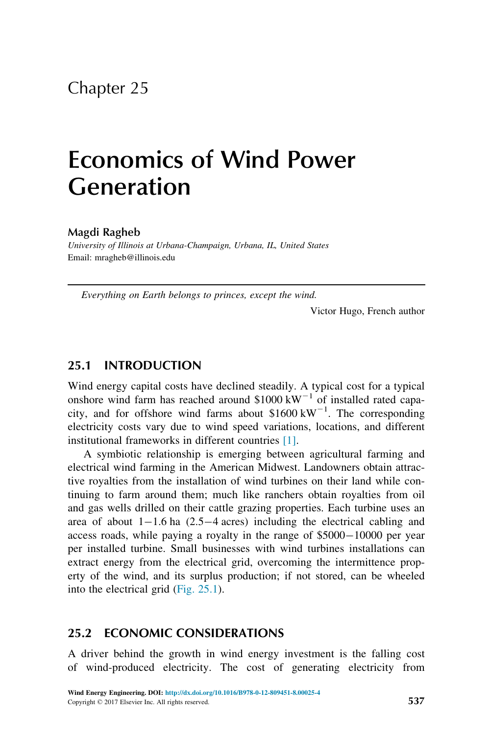# Economics of Wind Power Generation

#### Magdi Ragheb

University of Illinois at Urbana-Champaign, Urbana, IL, United States Email: mragheb@illinois.edu

Everything on Earth belongs to princes, except the wind.

Victor Hugo, French author

## 25.1 INTRODUCTION

Wind energy capital costs have declined steadily. A typical cost for a typical onshore wind farm has reached around  $$1000 \text{ kW}^{-1}$  of installed rated capacity, and for offshore wind farms about  $$1600$  kW<sup>-1</sup>. The corresponding electricity costs vary due to wind speed variations, locations, and different institutional frameworks in different countries [1].

A symbiotic relationship is emerging between agricultural farming and electrical wind farming in the American Midwest. Landowners obtain attractive royalties from the installation of wind turbines on their land while continuing to farm around them; much like ranchers obtain royalties from oil and gas wells drilled on their cattle grazing properties. Each turbine uses an area of about  $1-1.6$  ha (2.5-4 acres) including the electrical cabling and access roads, while paying a royalty in the range of  $$5000-10000$  per year per installed turbine. Small businesses with wind turbines installations can extract energy from the electrical grid, overcoming the intermittence property of the wind, and its surplus production; if not stored, can be wheeled into the electrical grid (Fig. 25.1).

## 25.2 ECONOMIC CONSIDERATIONS

A driver behind the growth in wind energy investment is the falling cost of wind-produced electricity. The cost of generating electricity from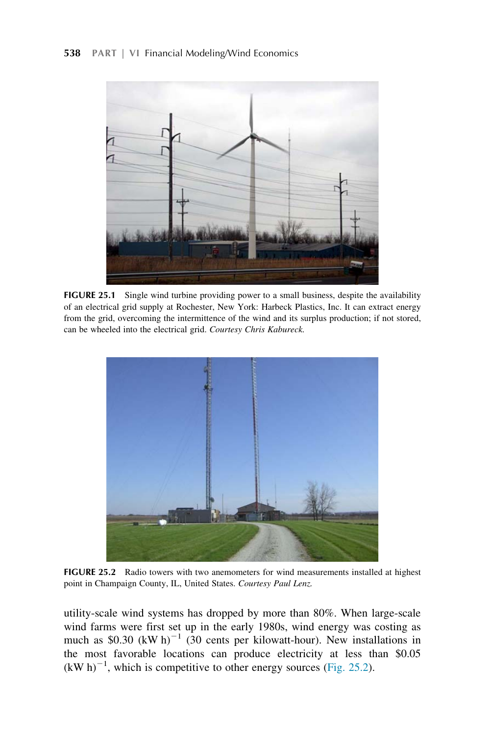

FIGURE 25.1 Single wind turbine providing power to a small business, despite the availability of an electrical grid supply at Rochester, New York: Harbeck Plastics, Inc. It can extract energy from the grid, overcoming the intermittence of the wind and its surplus production; if not stored, can be wheeled into the electrical grid. Courtesy Chris Kabureck.



FIGURE 25.2 Radio towers with two anemometers for wind measurements installed at highest point in Champaign County, IL, United States. Courtesy Paul Lenz.

utility-scale wind systems has dropped by more than 80%. When large-scale wind farms were first set up in the early 1980s, wind energy was costing as much as \$0.30 (kW h)<sup>-1</sup> (30 cents per kilowatt-hour). New installations in the most favorable locations can produce electricity at less than \$0.05  $(kW h)^{-1}$ , which is competitive to other energy sources (Fig. 25.2).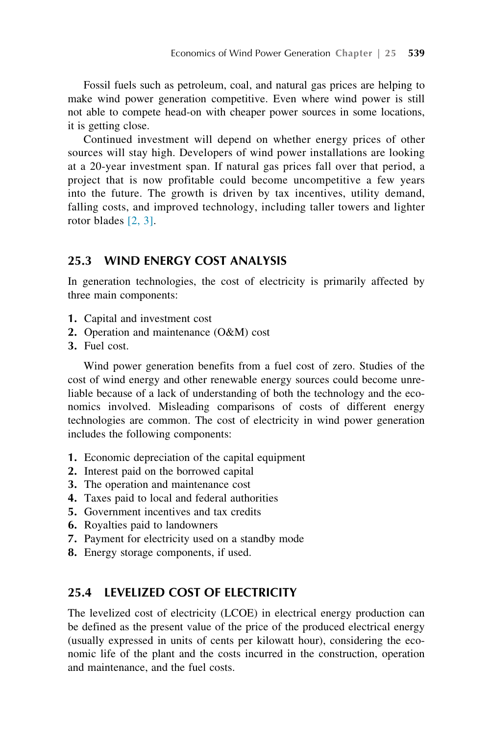Fossil fuels such as petroleum, coal, and natural gas prices are helping to make wind power generation competitive. Even where wind power is still not able to compete head-on with cheaper power sources in some locations, it is getting close.

Continued investment will depend on whether energy prices of other sources will stay high. Developers of wind power installations are looking at a 20-year investment span. If natural gas prices fall over that period, a project that is now profitable could become uncompetitive a few years into the future. The growth is driven by tax incentives, utility demand, falling costs, and improved technology, including taller towers and lighter rotor blades [2, 3].

## 25.3 WIND ENERGY COST ANALYSIS

In generation technologies, the cost of electricity is primarily affected by three main components:

- 1. Capital and investment cost
- 2. Operation and maintenance (O&M) cost
- 3. Fuel cost.

Wind power generation benefits from a fuel cost of zero. Studies of the cost of wind energy and other renewable energy sources could become unreliable because of a lack of understanding of both the technology and the economics involved. Misleading comparisons of costs of different energy technologies are common. The cost of electricity in wind power generation includes the following components:

- 1. Economic depreciation of the capital equipment
- 2. Interest paid on the borrowed capital
- 3. The operation and maintenance cost
- 4. Taxes paid to local and federal authorities
- 5. Government incentives and tax credits
- 6. Royalties paid to landowners
- 7. Payment for electricity used on a standby mode
- 8. Energy storage components, if used.

## 25.4 LEVELIZED COST OF ELECTRICITY

The levelized cost of electricity (LCOE) in electrical energy production can be defined as the present value of the price of the produced electrical energy (usually expressed in units of cents per kilowatt hour), considering the economic life of the plant and the costs incurred in the construction, operation and maintenance, and the fuel costs.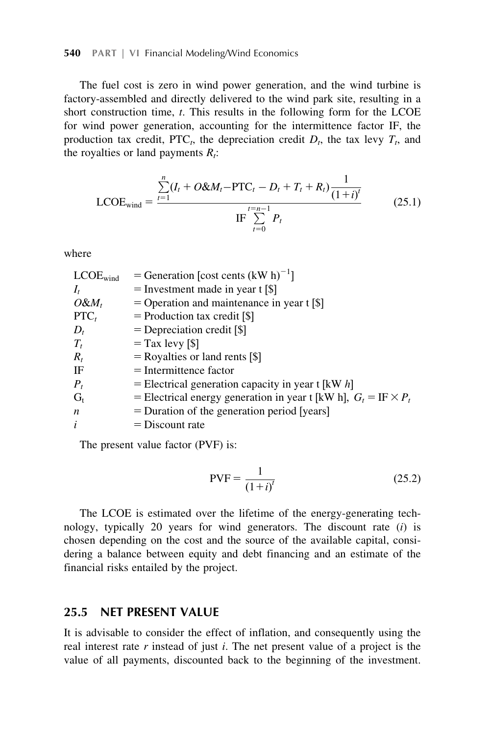The fuel cost is zero in wind power generation, and the wind turbine is factory-assembled and directly delivered to the wind park site, resulting in a short construction time, t. This results in the following form for the LCOE for wind power generation, accounting for the intermittence factor IF, the production tax credit, PTC<sub>t</sub>, the depreciation credit  $D_t$ , the tax levy  $T_t$ , and the royalties or land payments  $R_t$ :

$$
LCOE_{wind} = \frac{\sum_{t=1}^{n} (I_t + O\&M_t - PTC_t - D_t + T_t + R_t)\frac{1}{(1+i)^t}}{\text{IF } \sum_{t=0}^{t=n-1} P_t}
$$
(25.1)

where

| LCOE <sub>wind</sub> | = Generation [cost cents $(kW h)^{-1}$ ]                                         |
|----------------------|----------------------------------------------------------------------------------|
| $I_t$                | $=$ Investment made in year t [\$]                                               |
| $O\&M_t$             | $=$ Operation and maintenance in year t [\$]                                     |
| $\text{PTC}_t$       | $=$ Production tax credit [\$]                                                   |
| $D_t$                | $=$ Depreciation credit [\$]                                                     |
| $T_{t}$              | $=$ Tax levy [\$]                                                                |
| $R_{t}$              | $=$ Royalties or land rents [\$]                                                 |
| IF                   | $=$ Intermittence factor                                                         |
| $P_t$                | = Electrical generation capacity in year t [kW $h$ ]                             |
| $G_{t}$              | = Electrical energy generation in year t [kW h], $G_t = I \mathbf{F} \times P_t$ |
| $\boldsymbol{n}$     | $=$ Duration of the generation period [years]                                    |
| i                    | $=$ Discount rate                                                                |

The present value factor (PVF) is:

$$
PVF = \frac{1}{(1+i)^t} \tag{25.2}
$$

The LCOE is estimated over the lifetime of the energy-generating technology, typically 20 years for wind generators. The discount rate (i) is chosen depending on the cost and the source of the available capital, considering a balance between equity and debt financing and an estimate of the financial risks entailed by the project.

## 25.5 NET PRESENT VALUE

It is advisable to consider the effect of inflation, and consequently using the real interest rate  $r$  instead of just  $i$ . The net present value of a project is the value of all payments, discounted back to the beginning of the investment.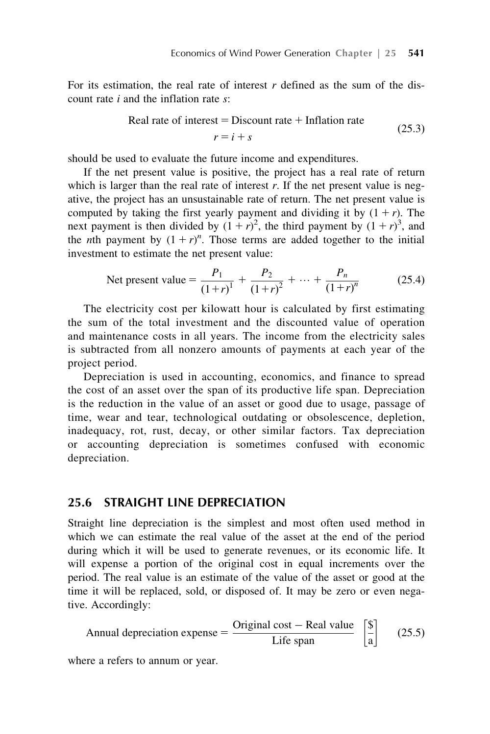For its estimation, the real rate of interest  $r$  defined as the sum of the discount rate  $i$  and the inflation rate  $s$ .

Real rate of interest = Discount rate + Inflation rate  
\n
$$
r = i + s
$$
\n(25.3)

should be used to evaluate the future income and expenditures.

If the net present value is positive, the project has a real rate of return which is larger than the real rate of interest  $r$ . If the net present value is negative, the project has an unsustainable rate of return. The net present value is computed by taking the first yearly payment and dividing it by  $(1 + r)$ . The next payment is then divided by  $(1 + r)^2$ , the third payment by  $(1 + r)^3$ , and the *n*th payment by  $(1 + r)^n$ . Those terms are added together to the initial investment to estimate the net present value:

Net present value = 
$$
\frac{P_1}{(1+r)^1} + \frac{P_2}{(1+r)^2} + \dots + \frac{P_n}{(1+r)^n}
$$
 (25.4)

The electricity cost per kilowatt hour is calculated by first estimating the sum of the total investment and the discounted value of operation and maintenance costs in all years. The income from the electricity sales is subtracted from all nonzero amounts of payments at each year of the project period.

Depreciation is used in accounting, economics, and finance to spread the cost of an asset over the span of its productive life span. Depreciation is the reduction in the value of an asset or good due to usage, passage of time, wear and tear, technological outdating or obsolescence, depletion, inadequacy, rot, rust, decay, or other similar factors. Tax depreciation or accounting depreciation is sometimes confused with economic depreciation.

#### 25.6 STRAIGHT LINE DEPRECIATION

Straight line depreciation is the simplest and most often used method in which we can estimate the real value of the asset at the end of the period during which it will be used to generate revenues, or its economic life. It will expense a portion of the original cost in equal increments over the period. The real value is an estimate of the value of the asset or good at the time it will be replaced, sold, or disposed of. It may be zero or even negative. Accordingly:

Annual depreciation expense = 
$$
\frac{\text{Original cost} - \text{Real value}}{\text{Life span}} \begin{bmatrix} \frac{\$}{a} \end{bmatrix}
$$
 (25.5)

where a refers to annum or year.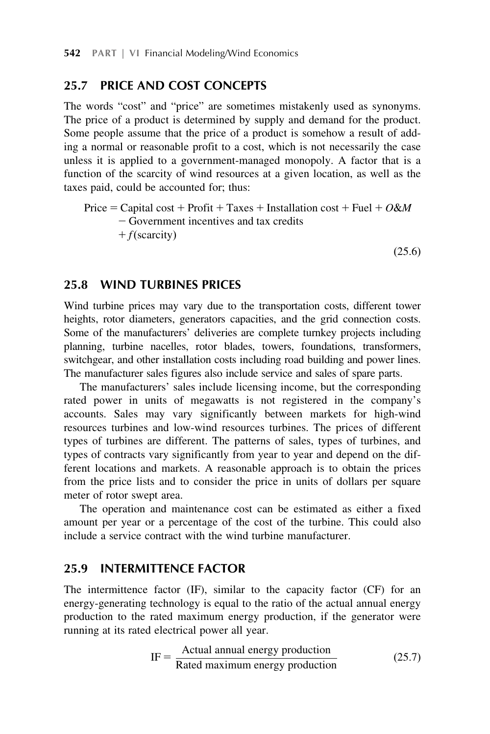#### 25.7 PRICE AND COST CONCEPTS

The words "cost" and "price" are sometimes mistakenly used as synonyms. The price of a product is determined by supply and demand for the product. Some people assume that the price of a product is somehow a result of adding a normal or reasonable profit to a cost, which is not necessarily the case unless it is applied to a government-managed monopoly. A factor that is a function of the scarcity of wind resources at a given location, as well as the taxes paid, could be accounted for; thus:

Price = Capital cost + Profit + Taxes + Installation cost + Fuel +  $0\&M$ 2 Government incentives and tax credits  $+ f$ (scarcity)

 $(25.6)$ 

#### 25.8 WIND TURBINES PRICES

Wind turbine prices may vary due to the transportation costs, different tower heights, rotor diameters, generators capacities, and the grid connection costs. Some of the manufacturers' deliveries are complete turnkey projects including planning, turbine nacelles, rotor blades, towers, foundations, transformers, switchgear, and other installation costs including road building and power lines. The manufacturer sales figures also include service and sales of spare parts.

The manufacturers' sales include licensing income, but the corresponding rated power in units of megawatts is not registered in the company's accounts. Sales may vary significantly between markets for high-wind resources turbines and low-wind resources turbines. The prices of different types of turbines are different. The patterns of sales, types of turbines, and types of contracts vary significantly from year to year and depend on the different locations and markets. A reasonable approach is to obtain the prices from the price lists and to consider the price in units of dollars per square meter of rotor swept area.

The operation and maintenance cost can be estimated as either a fixed amount per year or a percentage of the cost of the turbine. This could also include a service contract with the wind turbine manufacturer.

#### 25.9 INTERMITTENCE FACTOR

The intermittence factor (IF), similar to the capacity factor (CF) for an energy-generating technology is equal to the ratio of the actual annual energy production to the rated maximum energy production, if the generator were running at its rated electrical power all year.

IF = 
$$
\frac{\text{Actual annual energy production}}{\text{Rated maximum energy production}}
$$
 (25.7)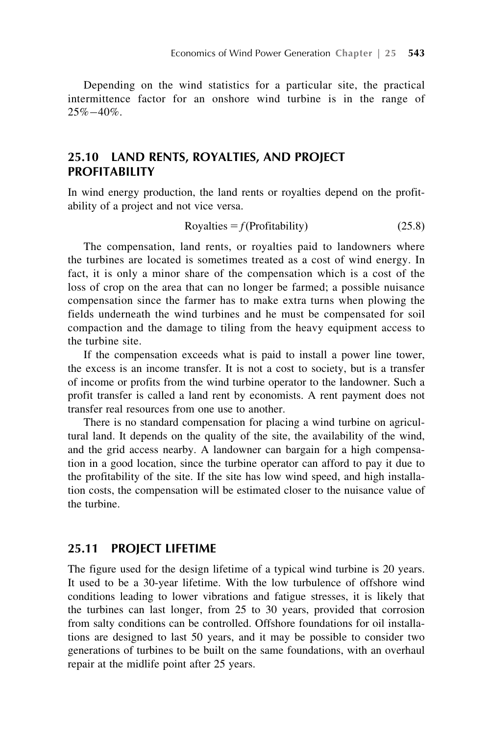Depending on the wind statistics for a particular site, the practical intermittence factor for an onshore wind turbine is in the range of  $25\% - 40\%$ 

## 25.10 LAND RENTS, ROYALTIES, AND PROJECT PROFITABILITY

In wind energy production, the land rents or royalties depend on the profitability of a project and not vice versa.

$$
Royalties = f(Profitability)
$$
 (25.8)

The compensation, land rents, or royalties paid to landowners where the turbines are located is sometimes treated as a cost of wind energy. In fact, it is only a minor share of the compensation which is a cost of the loss of crop on the area that can no longer be farmed; a possible nuisance compensation since the farmer has to make extra turns when plowing the fields underneath the wind turbines and he must be compensated for soil compaction and the damage to tiling from the heavy equipment access to the turbine site.

If the compensation exceeds what is paid to install a power line tower, the excess is an income transfer. It is not a cost to society, but is a transfer of income or profits from the wind turbine operator to the landowner. Such a profit transfer is called a land rent by economists. A rent payment does not transfer real resources from one use to another.

There is no standard compensation for placing a wind turbine on agricultural land. It depends on the quality of the site, the availability of the wind, and the grid access nearby. A landowner can bargain for a high compensation in a good location, since the turbine operator can afford to pay it due to the profitability of the site. If the site has low wind speed, and high installation costs, the compensation will be estimated closer to the nuisance value of the turbine.

#### 25.11 PROJECT LIFETIME

The figure used for the design lifetime of a typical wind turbine is 20 years. It used to be a 30-year lifetime. With the low turbulence of offshore wind conditions leading to lower vibrations and fatigue stresses, it is likely that the turbines can last longer, from 25 to 30 years, provided that corrosion from salty conditions can be controlled. Offshore foundations for oil installations are designed to last 50 years, and it may be possible to consider two generations of turbines to be built on the same foundations, with an overhaul repair at the midlife point after 25 years.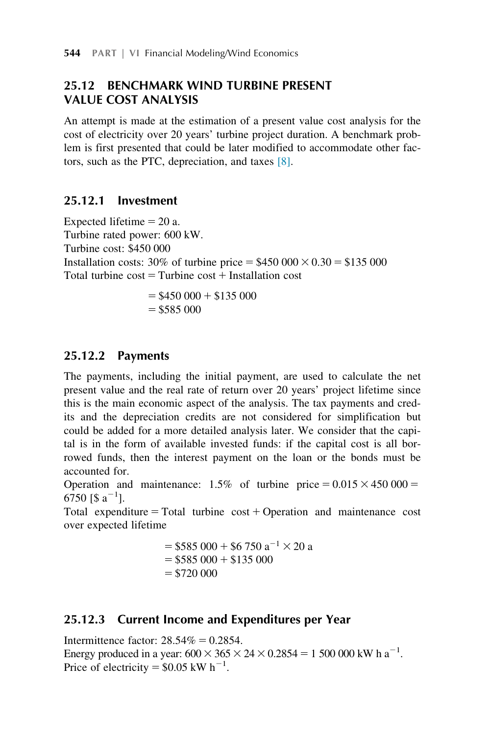# 25.12 BENCHMARK WIND TURBINE PRESENT VALUE COST ANALYSIS

An attempt is made at the estimation of a present value cost analysis for the cost of electricity over 20 years' turbine project duration. A benchmark problem is first presented that could be later modified to accommodate other factors, such as the PTC, depreciation, and taxes [8].

## 25.12.1 Investment

Expected lifetime  $= 20$  a. Turbine rated power: 600 kW. Turbine cost: \$450 000 Installation costs: 30% of turbine price =  $$450,000 \times 0.30 = $135,000$ Total turbine  $cost =$ Turbine  $cost +$ Installation cost

$$
= $450\,000 + $135\,000
$$
  
= \$585\,000

## 25.12.2 Payments

The payments, including the initial payment, are used to calculate the net present value and the real rate of return over 20 years' project lifetime since this is the main economic aspect of the analysis. The tax payments and credits and the depreciation credits are not considered for simplification but could be added for a more detailed analysis later. We consider that the capital is in the form of available invested funds: if the capital cost is all borrowed funds, then the interest payment on the loan or the bonds must be accounted for.

Operation and maintenance:  $1.5\%$  of turbine price  $= 0.015 \times 450\,000 =$  $6750$  [\$  $a^{-1}$ ].

Total expenditure  $=$  Total turbine cost  $+$  Operation and maintenance cost over expected lifetime

$$
= $585\,000 + $6\,750\,a^{-1} \times 20\,a
$$
  
= \$585\,000 + \$135\,000  
= \$720\,000

## 25.12.3 Current Income and Expenditures per Year

Intermittence factor:  $28.54\% = 0.2854$ . Energy produced in a year:  $600 \times 365 \times 24 \times 0.2854 = 1,500,000 \text{ kW h a}^{-1}$ . Price of electricity =  $$0.05$  kW h<sup>-1</sup>.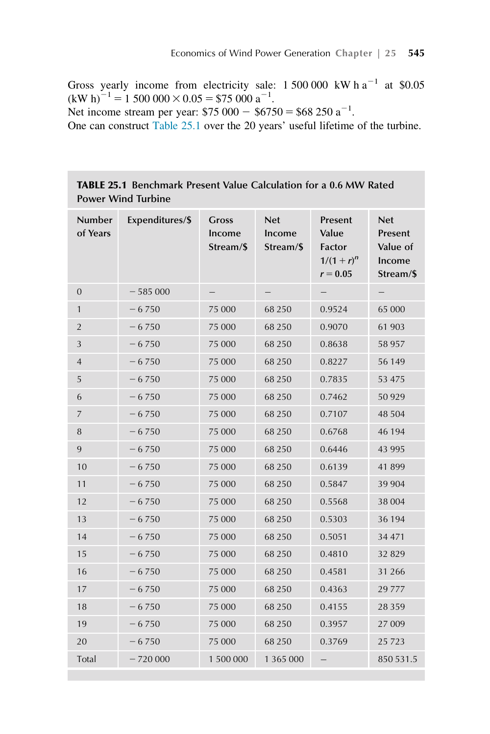Gross yearly income from electricity sale:  $1500000 \text{ kW h a}^{-1}$  at \$0.05  $(kW h)^{-1} = 1500\,000 \times 0.05 = $75\,000 \text{ a}^{-1}.$ 

Net income stream per year:  $$75\,000 - $6750 = $68\,250 \text{ a}^{-1}$ .

One can construct Table 25.1 over the 20 years' useful lifetime of the turbine.

#### TABLE 25.1 Benchmark Present Value Calculation for a 0.6 MW Rated Power Wind Turbine

| Number<br>of Years | Expenditures/\$ | Gross<br>Income<br>Stream/\$ | <b>Net</b><br>Income<br>Stream/\$ | Present<br>Value<br>Factor<br>$1/(1+r)^n$<br>$r = 0.05$ | <b>Net</b><br>Present<br>Value of<br>Income<br>Stream/\$ |
|--------------------|-----------------|------------------------------|-----------------------------------|---------------------------------------------------------|----------------------------------------------------------|
| $\overline{0}$     | $-585000$       |                              |                                   |                                                         |                                                          |
| $\mathbf{1}$       | $-6750$         | 75 000                       | 68 250                            | 0.9524                                                  | 65 000                                                   |
| $\overline{2}$     | $-6750$         | 75 000                       | 68 250                            | 0.9070                                                  | 61 903                                                   |
| 3                  | $-6750$         | 75 000                       | 68 250                            | 0.8638                                                  | 58 957                                                   |
| $\overline{4}$     | $-6750$         | 75 000                       | 68 250                            | 0.8227                                                  | 56 149                                                   |
| 5                  | $-6750$         | 75 000                       | 68 250                            | 0.7835                                                  | 53 475                                                   |
| 6                  | $-6750$         | 75 000                       | 68 250                            | 0.7462                                                  | 50 929                                                   |
| $\overline{7}$     | $-6750$         | 75 000                       | 68 250                            | 0.7107                                                  | 48 504                                                   |
| 8                  | $-6750$         | 75 000                       | 68 250                            | 0.6768                                                  | 46 194                                                   |
| 9                  | $-6750$         | 75 000                       | 68 250                            | 0.6446                                                  | 43 995                                                   |
| 10                 | $-6750$         | 75 000                       | 68 250                            | 0.6139                                                  | 41 899                                                   |
| 11                 | $-6750$         | 75 000                       | 68 250                            | 0.5847                                                  | 39 904                                                   |
| 12                 | $-6750$         | 75 000                       | 68 250                            | 0.5568                                                  | 38 004                                                   |
| 13                 | $-6750$         | 75 000                       | 68 250                            | 0.5303                                                  | 36 194                                                   |
| 14                 | $-6750$         | 75 000                       | 68 250                            | 0.5051                                                  | 34 471                                                   |
| 15                 | $-6750$         | 75 000                       | 68 250                            | 0.4810                                                  | 32 829                                                   |
| 16                 | $-6750$         | 75 000                       | 68 250                            | 0.4581                                                  | 31 266                                                   |
| 17                 | $-6750$         | 75 000                       | 68 250                            | 0.4363                                                  | 29777                                                    |
| 18                 | $-6750$         | 75 000                       | 68 250                            | 0.4155                                                  | 28 3 5 9                                                 |
| 19                 | $-6750$         | 75 000                       | 68 250                            | 0.3957                                                  | 27 009                                                   |
| 20                 | $-6750$         | 75 000                       | 68 250                            | 0.3769                                                  | 25723                                                    |
| Total              | $-720000$       | 1 500 000                    | 1 3 6 5 0 0 0                     |                                                         | 850 531.5                                                |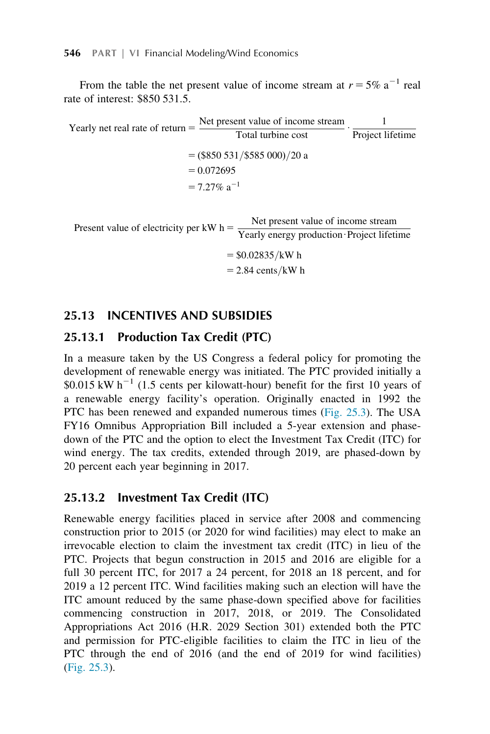From the table the net present value of income stream at  $r = 5\%$  a<sup>-1</sup> real rate of interest: \$850 531.5.

Yearly net real rate of return  $=$  Net present value of income stream  $\cdot \frac{1}{\text{Project 1}}$ Project lifetime  $=$  (\$850 531/\$585 000)/20 a  $= 0.072695$  $= 7.27\% \text{ a}^{-1}$ 

Present value of electricity per kW h =  $\frac{\text{Net present value of income stream}}{\frac{1}{2} + \frac{1}{2} + \frac{1}{2}}$ Yearly energy production Project lifetime

> $= $0.02835/kW$  h  $= 2.84$  cents/kW h

# 25.13 INCENTIVES AND SUBSIDIES

# 25.13.1 Production Tax Credit (PTC)

In a measure taken by the US Congress a federal policy for promoting the development of renewable energy was initiated. The PTC provided initially a  $$0.015 \text{ kW h}^{-1}$  (1.5 cents per kilowatt-hour) benefit for the first 10 years of a renewable energy facility's operation. Originally enacted in 1992 the PTC has been renewed and expanded numerous times (Fig. 25.3). The USA FY16 Omnibus Appropriation Bill included a 5-year extension and phasedown of the PTC and the option to elect the Investment Tax Credit (ITC) for wind energy. The tax credits, extended through 2019, are phased-down by 20 percent each year beginning in 2017.

# 25.13.2 Investment Tax Credit (ITC)

Renewable energy facilities placed in service after 2008 and commencing construction prior to 2015 (or 2020 for wind facilities) may elect to make an irrevocable election to claim the investment tax credit (ITC) in lieu of the PTC. Projects that begun construction in 2015 and 2016 are eligible for a full 30 percent ITC, for 2017 a 24 percent, for 2018 an 18 percent, and for 2019 a 12 percent ITC. Wind facilities making such an election will have the ITC amount reduced by the same phase-down specified above for facilities commencing construction in 2017, 2018, or 2019. The Consolidated Appropriations Act 2016 (H.R. 2029 Section 301) extended both the PTC and permission for PTC-eligible facilities to claim the ITC in lieu of the PTC through the end of 2016 (and the end of 2019 for wind facilities) (Fig. 25.3).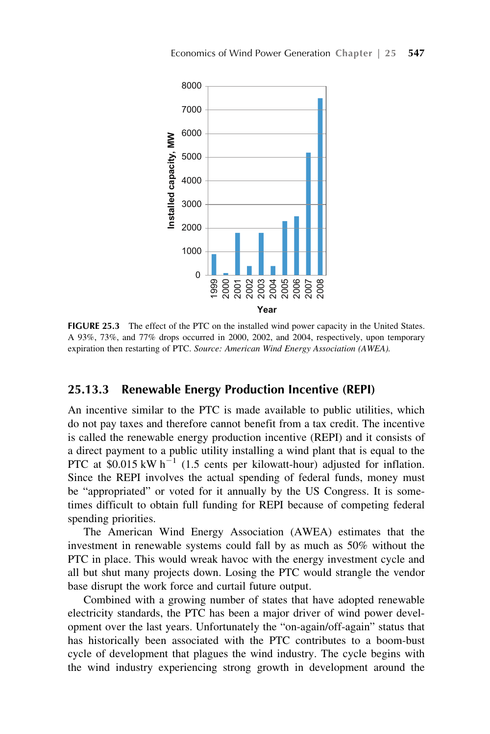

FIGURE 25.3 The effect of the PTC on the installed wind power capacity in the United States. A 93%, 73%, and 77% drops occurred in 2000, 2002, and 2004, respectively, upon temporary expiration then restarting of PTC. Source: American Wind Energy Association (AWEA).

## 25.13.3 Renewable Energy Production Incentive (REPI)

An incentive similar to the PTC is made available to public utilities, which do not pay taxes and therefore cannot benefit from a tax credit. The incentive is called the renewable energy production incentive (REPI) and it consists of a direct payment to a public utility installing a wind plant that is equal to the PTC at  $$0.015 \text{ kW h}^{-1}$  (1.5 cents per kilowatt-hour) adjusted for inflation. Since the REPI involves the actual spending of federal funds, money must be "appropriated" or voted for it annually by the US Congress. It is sometimes difficult to obtain full funding for REPI because of competing federal spending priorities.

The American Wind Energy Association (AWEA) estimates that the investment in renewable systems could fall by as much as 50% without the PTC in place. This would wreak havoc with the energy investment cycle and all but shut many projects down. Losing the PTC would strangle the vendor base disrupt the work force and curtail future output.

Combined with a growing number of states that have adopted renewable electricity standards, the PTC has been a major driver of wind power development over the last years. Unfortunately the "on-again/off-again" status that has historically been associated with the PTC contributes to a boom-bust cycle of development that plagues the wind industry. The cycle begins with the wind industry experiencing strong growth in development around the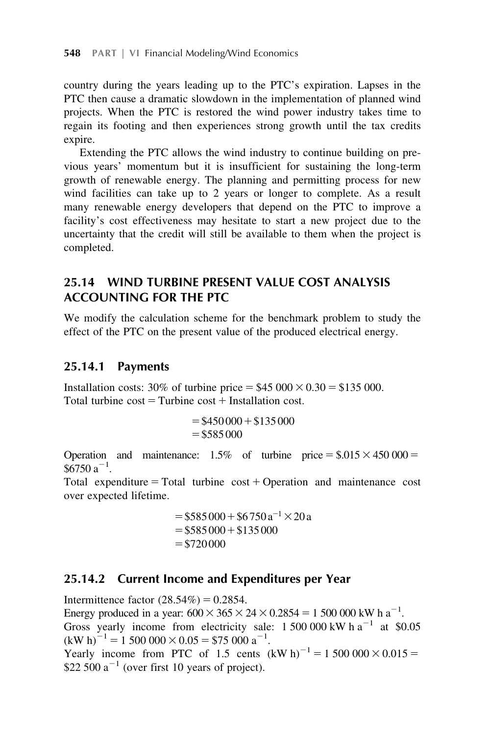country during the years leading up to the PTC's expiration. Lapses in the PTC then cause a dramatic slowdown in the implementation of planned wind projects. When the PTC is restored the wind power industry takes time to regain its footing and then experiences strong growth until the tax credits expire.

Extending the PTC allows the wind industry to continue building on previous years' momentum but it is insufficient for sustaining the long-term growth of renewable energy. The planning and permitting process for new wind facilities can take up to 2 years or longer to complete. As a result many renewable energy developers that depend on the PTC to improve a facility's cost effectiveness may hesitate to start a new project due to the uncertainty that the credit will still be available to them when the project is completed.

## 25.14 WIND TURBINE PRESENT VALUE COST ANALYSIS ACCOUNTING FOR THE PTC

We modify the calculation scheme for the benchmark problem to study the effect of the PTC on the present value of the produced electrical energy.

## 25.14.1 Payments

Installation costs: 30% of turbine price =  $$45\,000 \times 0.30 = $135\,000$ . Total turbine  $\cos t =$  Turbine  $\cos t +$  Installation cost.

$$
= $450\,000 + $135\,000
$$
  
= \$585\,000

Operation and maintenance:  $1.5\%$  of turbine price = \$.015  $\times$  450 000 =  $\sin 50$  a<sup>-1</sup>.

Total expenditure  $=$  Total turbine cost  $+$  Operation and maintenance cost over expected lifetime.

$$
= $585\,000 + $6\,750\,a^{-1} \times 20\,a
$$
  
= \$585\,000 + \$135\,000  
= \$720\,000

#### 25.14.2 Current Income and Expenditures per Year

Intermittence factor  $(28.54\%) = 0.2854$ . Energy produced in a year:  $600 \times 365 \times 24 \times 0.2854 = 1,500,000 \text{ kW h a}^{-1}$ . Gross yearly income from electricity sale:  $1500000 \text{ kW} \text{h} \text{a}^{-1}$  at \$0.05  $(kW h)^{-1} = 1500 000 \times 0.05 = $75 000 a^{-1}.$ Yearly income from PTC of 1.5 cents  $(kW h)^{-1} = 1500000 \times 0.015 =$ \$22 500  $a^{-1}$  (over first 10 years of project).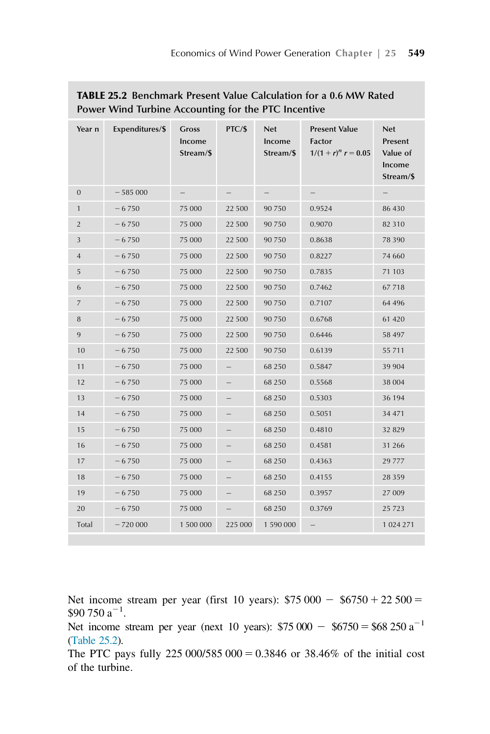| Year n         | Expenditures/\$ | Gross<br>Income<br>Stream/\$ | PTC/\$  | <b>Net</b><br>Income<br>Stream/\$ | <b>Present Value</b><br>Factor<br>$1/(1+r)^n r = 0.05$ | <b>Net</b><br>Present<br>Value of<br>Income<br>Stream/\$ |
|----------------|-----------------|------------------------------|---------|-----------------------------------|--------------------------------------------------------|----------------------------------------------------------|
| $\mathbf{0}$   | $-585000$       |                              |         | -                                 | $\overline{\phantom{0}}$                               | $\overline{\phantom{0}}$                                 |
| $\mathbf{1}$   | $-6750$         | 75 000                       | 22 500  | 90 750                            | 0.9524                                                 | 86 430                                                   |
| $\overline{2}$ | $-6750$         | 75 000                       | 22 500  | 90 750                            | 0.9070                                                 | 82 310                                                   |
| 3              | $-6750$         | 75 000                       | 22 500  | 90 750                            | 0.8638                                                 | 78 3 90                                                  |
| $\overline{4}$ | $-6750$         | 75 000                       | 22 500  | 90 750                            | 0.8227                                                 | 74 660                                                   |
| 5              | $-6750$         | 75 000                       | 22 500  | 90 750                            | 0.7835                                                 | 71 103                                                   |
| 6              | $-6750$         | 75 000                       | 22 500  | 90 750                            | 0.7462                                                 | 67718                                                    |
| 7              | $-6750$         | 75 000                       | 22 500  | 90 750                            | 0.7107                                                 | 64 4 9 6                                                 |
| 8              | $-6750$         | 75 000                       | 22 500  | 90 750                            | 0.6768                                                 | 61 420                                                   |
| 9              | $-6750$         | 75 000                       | 22 500  | 90 750                            | 0.6446                                                 | 58 497                                                   |
| 10             | $-6750$         | 75 000                       | 22 500  | 90 750                            | 0.6139                                                 | 55 711                                                   |
| 11             | $-6750$         | 75 000                       |         | 68 250                            | 0.5847                                                 | 39 904                                                   |
| 12             | $-6750$         | 75 000                       |         | 68 250                            | 0.5568                                                 | 38 004                                                   |
| 13             | $-6750$         | 75 000                       |         | 68 250                            | 0.5303                                                 | 36 194                                                   |
| 14             | $-6750$         | 75 000                       |         | 68 250                            | 0.5051                                                 | 34 471                                                   |
| 15             | $-6750$         | 75 000                       |         | 68 250                            | 0.4810                                                 | 32 829                                                   |
| 16             | $-6750$         | 75 000                       |         | 68 250                            | 0.4581                                                 | 31 266                                                   |
| 17             | $-6750$         | 75 000                       |         | 68 250                            | 0.4363                                                 | 29 777                                                   |
| 18             | $-6750$         | 75 000                       |         | 68 250                            | 0.4155                                                 | 28 3 5 9                                                 |
| 19             | $-6750$         | 75 000                       |         | 68 250                            | 0.3957                                                 | 27 009                                                   |
| 20             | $-6750$         | 75 000                       |         | 68 250                            | 0.3769                                                 | 25 7 23                                                  |
| Total          | $-720000$       | 1 500 000                    | 225 000 | 1 590 000                         |                                                        | 1 0 2 4 2 7 1                                            |

#### TABLE 25.2 Benchmark Present Value Calculation for a 0.6 MW Rated Power Wind Turbine Accounting for the PTC Incentive

Net income stream per year (first 10 years):  $$75\,000 - $6750 + 22\,500 =$  $$90\,750\mathrm{a}^{-1}$ .

Net income stream per year (next 10 years):  $$75\,000 - $6750 = $68\,250 \text{ a}^{-1}$ (Table 25.2).

The PTC pays fully 225 000/585 000 = 0.3846 or 38.46% of the initial cost of the turbine.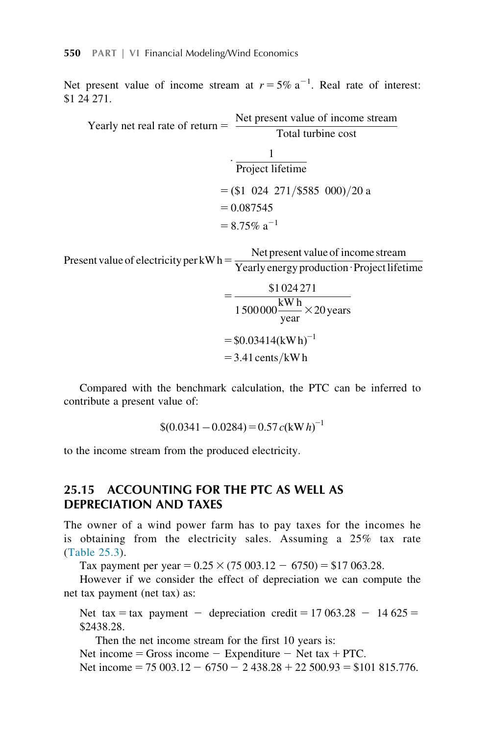Net present value of income stream at  $r = 5\%$  a<sup>-1</sup>. Real rate of interest: \$1 24 271.

Yearly net real rate of return  $=$   $\frac{\text{Net present value of income stream}}{\text{Total turbine cost}}$  $\cdot \frac{1}{\text{Project lifetime}}$  $=$  (\$1 024 271/\$585 000)/20 a  $= 0.087545$  $= 8.75\% \text{ a}^{-1}$ 

Present value of electricity per kW h = 
$$
\frac{\text{Net present value of income stream}}{\text{Yearly energy production} \cdot \text{Project lifetime}}
$$

$$
= \frac{$1\,024\,271}{1\,500\,000 \frac{\text{kW}\,\text{h}}{\text{year}}} \times 20 \,\text{years}
$$
\n
$$
= $0.03414(\text{kW}\,\text{h})^{-1}
$$
\n
$$
= 3.41 \,\text{cents}/\text{kW}\,\text{h}
$$

Compared with the benchmark calculation, the PTC can be inferred to contribute a present value of:

$$
$(0.0341 - 0.0284) = 0.57 c(kWh)-1
$$

to the income stream from the produced electricity.

# 25.15 ACCOUNTING FOR THE PTC AS WELL AS DEPRECIATION AND TAXES

The owner of a wind power farm has to pay taxes for the incomes he is obtaining from the electricity sales. Assuming a 25% tax rate (Table 25.3).

Tax payment per year =  $0.25 \times (75\,003.12 - 6750) = $17\,063.28$ .

However if we consider the effect of depreciation we can compute the net tax payment (net tax) as:

Net tax = tax payment - depreciation credit =  $17\,063.28 - 14\,625 =$ \$2438.28.

Then the net income stream for the first 10 years is:

Net income  $=$  Gross income  $-$  Expenditure  $-$  Net tax  $+$  PTC.

Net income =  $75\,003.12 - 6750 - 2438.28 + 22500.93 = $101815.776$ .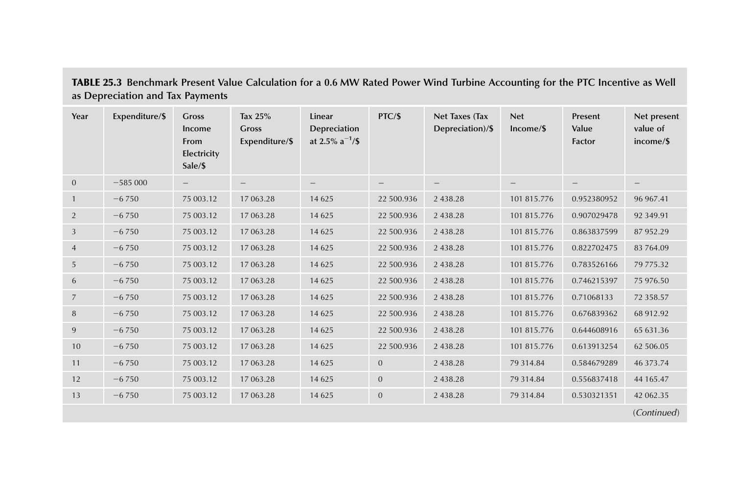## TABLE 25.3 Benchmark Present Value Calculation for <sup>a</sup> 0.6 MW Rated Power Wind Turbine Accounting for the PTC Incentive as Well as Depreciation and Tax Payments

| Year           | Expenditure/\$ | <b>Gross</b><br>Income<br>From<br>Electricity<br>Sale/\$ | Tax 25%<br>Gross<br>Expenditure/\$ | Linear<br>Depreciation<br>at 2.5% $a^{-1}/\$$ | PTC/\$         | Net Taxes (Tax<br>Depreciation)/\$ | <b>Net</b><br>$Income/\$$ | Present<br>Value<br>Factor | Net present<br>value of<br>$income/$ \$ |
|----------------|----------------|----------------------------------------------------------|------------------------------------|-----------------------------------------------|----------------|------------------------------------|---------------------------|----------------------------|-----------------------------------------|
| $\mathbf{0}$   | $-585000$      |                                                          |                                    |                                               |                |                                    |                           |                            |                                         |
|                | $-6750$        | 75 003.12                                                | 17 063.28                          | 14 6 25                                       | 22 500.936     | 2 438.28                           | 101 815.776               | 0.952380952                | 96 967.41                               |
| 2              | $-6750$        | 75 003.12                                                | 17 063.28                          | 14 6 25                                       | 22 500.936     | 2 4 3 8 . 2 8                      | 101 815,776               | 0.907029478                | 92 349.91                               |
| 3              | $-6750$        | 75 003.12                                                | 17 063.28                          | 14 6 25                                       | 22 500.936     | 2 4 3 8 . 2 8                      | 101 815,776               | 0.863837599                | 87952.29                                |
| $\overline{4}$ | $-6750$        | 75 003.12                                                | 17 063.28                          | 14 6 25                                       | 22 500.936     | 2 4 3 8 . 2 8                      | 101 815.776               | 0.822702475                | 83 764.09                               |
| 5              | $-6750$        | 75 003.12                                                | 17 063.28                          | 14 6 25                                       | 22 500.936     | 2 4 3 8 . 2 8                      | 101 815.776               | 0.783526166                | 79 775.32                               |
| 6              | $-6750$        | 75 003.12                                                | 17 063.28                          | 14 6 25                                       | 22 500.936     | 2 4 3 8 . 2 8                      | 101 815.776               | 0.746215397                | 75 976.50                               |
| $\overline{7}$ | $-6750$        | 75 003.12                                                | 17 063.28                          | 14 6 25                                       | 22 500.936     | 2 4 3 8 . 2 8                      | 101 815.776               | 0.71068133                 | 72 358.57                               |
| 8              | $-6750$        | 75 003.12                                                | 17 063.28                          | 14 6 25                                       | 22 500.936     | 2 438.28                           | 101 815.776               | 0.676839362                | 68 912.92                               |
| 9              | $-6750$        | 75 003.12                                                | 17 063.28                          | 14 6 25                                       | 22 500.936     | 2 438.28                           | 101 815.776               | 0.644608916                | 65 631.36                               |
| 10             | $-6750$        | 75 003.12                                                | 17 063.28                          | 14 625                                        | 22 500.936     | 2 4 3 8 . 2 8                      | 101 815,776               | 0.613913254                | 62 506.05                               |
| 11             | $-6750$        | 75 003.12                                                | 17 063.28                          | 14 625                                        | $\overline{0}$ | 2 438.28                           | 79 314.84                 | 0.584679289                | 46 373.74                               |
| 12             | $-6750$        | 75 003.12                                                | 17 063.28                          | 14 625                                        | $\overline{0}$ | 2 4 3 8 . 2 8                      | 79 314.84                 | 0.556837418                | 44 165.47                               |
| 13             | $-6750$        | 75 003.12                                                | 17 063.28                          | 14 6 25                                       | $\mathbf{0}$   | 2 438.28                           | 79 314.84                 | 0.530321351                | 42 062.35                               |
|                |                |                                                          |                                    |                                               |                |                                    |                           |                            | (Continued)                             |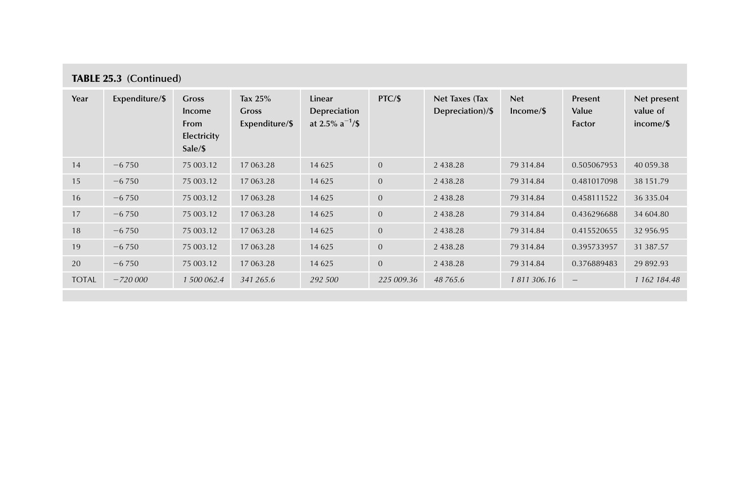| <b>TABLE 25.3</b> (Continued) |                |                                                   |                                             |                                                      |                |                                    |                        |                            |                                     |
|-------------------------------|----------------|---------------------------------------------------|---------------------------------------------|------------------------------------------------------|----------------|------------------------------------|------------------------|----------------------------|-------------------------------------|
| Year                          | Expenditure/\$ | Gross<br>Income<br>From<br>Electricity<br>Sale/\$ | Tax $25%$<br><b>Gross</b><br>Expenditure/\$ | Linear<br><b>Depreciation</b><br>at 2.5% $a^{-1}/\$$ | PTC/\$         | Net Taxes (Tax<br>Depreciation)/\$ | <b>Net</b><br>Income/S | Present<br>Value<br>Factor | Net present<br>value of<br>income/s |
| 14                            | $-6750$        | 75 003.12                                         | 17 063.28                                   | 14 625                                               | $\overline{0}$ | 2 4 3 8 . 2 8                      | 79 314.84              | 0.505067953                | 40 059.38                           |
| 15                            | $-6750$        | 75 003.12                                         | 17 063.28                                   | 14 6 25                                              | $\theta$       | 2 4 3 8 . 2 8                      | 79 314.84              | 0.481017098                | 38 151.79                           |
| 16                            | $-6750$        | 75 003.12                                         | 17 063.28                                   | 14 625                                               | $\theta$       | 2 4 3 8 . 2 8                      | 79 314.84              | 0.458111522                | 36 335.04                           |
| 17                            | $-6750$        | 75 003.12                                         | 17 063.28                                   | 14 625                                               | $\overline{0}$ | 2 4 3 8 . 2 8                      | 79 314.84              | 0.436296688                | 34 604.80                           |
| 18                            | $-6750$        | 75 003.12                                         | 17 063.28                                   | 14 625                                               | $\overline{0}$ | 2 4 3 8 . 2 8                      | 79 314.84              | 0.415520655                | 32 956.95                           |
| 19                            | $-6750$        | 75 003.12                                         | 17 063.28                                   | 14 625                                               | $\overline{0}$ | 2 4 3 8 . 2 8                      | 79 314.84              | 0.395733957                | 31 387.57                           |
| 20                            | $-6750$        | 75 003.12                                         | 17 063.28                                   | 14 625                                               | $\overline{0}$ | 2 4 3 8 . 2 8                      | 79 314.84              | 0.376889483                | 29 892.93                           |
| <b>TOTAL</b>                  | $-720000$      | 1 500 062.4                                       | 341 265.6                                   | 292 500                                              | 225 009.36     | 48765.6                            | 1 811 306.16           | $\qquad \qquad -$          | 1 162 184.48                        |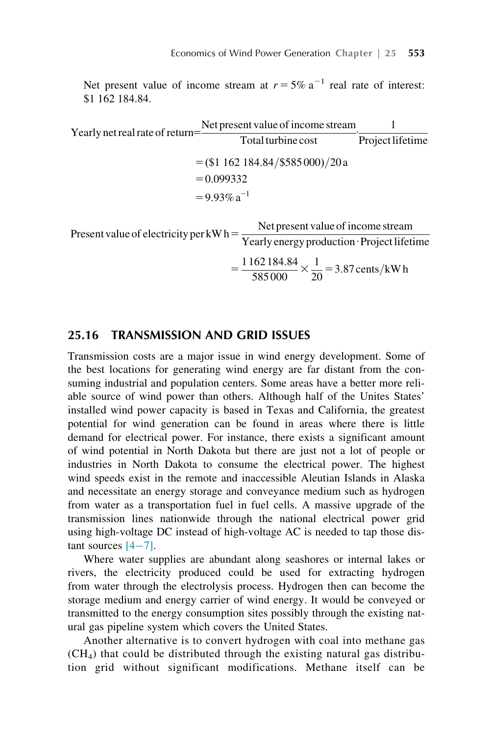Net present value of income stream at  $r = 5\%$  a<sup>-1</sup> real rate of interest: \$1 162 184 84

Yearly net real rate of return= $\frac{\text{Net present value of income stream}}{\text{Total turbine cost}}$ . Project l Project lifetime  $=$ (\$1 162 184.84/\$585 000)/20 a  $= 0.099332$  $=9.93\% \text{ a}^{-1}$ 

Present value of electricity per kW h =  $\frac{\text{Net present value of income stream}}{\text{Yearly energy production} \cdot \text{Project lifetime}}$ 

 $=\frac{1162184.84}{585000} \times \frac{1}{20} = 3.87 \text{ cents/kW h}$ 

### 25.16 TRANSMISSION AND GRID ISSUES

Transmission costs are a major issue in wind energy development. Some of the best locations for generating wind energy are far distant from the consuming industrial and population centers. Some areas have a better more reliable source of wind power than others. Although half of the Unites States' installed wind power capacity is based in Texas and California, the greatest potential for wind generation can be found in areas where there is little demand for electrical power. For instance, there exists a significant amount of wind potential in North Dakota but there are just not a lot of people or industries in North Dakota to consume the electrical power. The highest wind speeds exist in the remote and inaccessible Aleutian Islands in Alaska and necessitate an energy storage and conveyance medium such as hydrogen from water as a transportation fuel in fuel cells. A massive upgrade of the transmission lines nationwide through the national electrical power grid using high-voltage DC instead of high-voltage AC is needed to tap those distant sources  $[4-7]$ .

Where water supplies are abundant along seashores or internal lakes or rivers, the electricity produced could be used for extracting hydrogen from water through the electrolysis process. Hydrogen then can become the storage medium and energy carrier of wind energy. It would be conveyed or transmitted to the energy consumption sites possibly through the existing natural gas pipeline system which covers the United States.

Another alternative is to convert hydrogen with coal into methane gas  $(CH<sub>4</sub>)$  that could be distributed through the existing natural gas distribution grid without significant modifications. Methane itself can be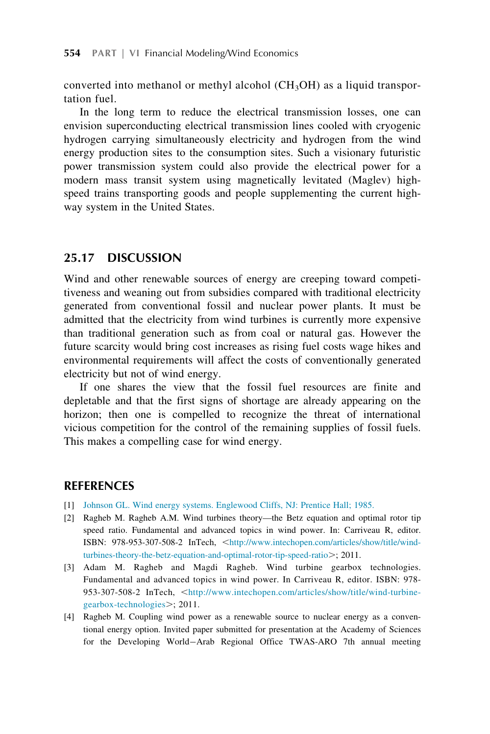converted into methanol or methyl alcohol  $(CH_3OH)$  as a liquid transportation fuel.

In the long term to reduce the electrical transmission losses, one can envision superconducting electrical transmission lines cooled with cryogenic hydrogen carrying simultaneously electricity and hydrogen from the wind energy production sites to the consumption sites. Such a visionary futuristic power transmission system could also provide the electrical power for a modern mass transit system using magnetically levitated (Maglev) highspeed trains transporting goods and people supplementing the current highway system in the United States.

#### 25.17 DISCUSSION

Wind and other renewable sources of energy are creeping toward competitiveness and weaning out from subsidies compared with traditional electricity generated from conventional fossil and nuclear power plants. It must be admitted that the electricity from wind turbines is currently more expensive than traditional generation such as from coal or natural gas. However the future scarcity would bring cost increases as rising fuel costs wage hikes and environmental requirements will affect the costs of conventionally generated electricity but not of wind energy.

If one shares the view that the fossil fuel resources are finite and depletable and that the first signs of shortage are already appearing on the horizon; then one is compelled to recognize the threat of international vicious competition for the control of the remaining supplies of fossil fuels. This makes a compelling case for wind energy.

#### **REFERENCES**

- [1] [Johnson GL. Wind energy systems. Englewood Cliffs, NJ: Prentice Hall; 1985.](http://refhub.elsevier.com/B978-0-12-809451-8.00025-4/sbref1)
- [2] Ragheb M. Ragheb A.M. Wind turbines theory—the Betz equation and optimal rotor tip speed ratio. Fundamental and advanced topics in wind power. In: Carriveau R, editor. ISBN: 978-953-307-508-2 InTech, <[http://www.intechopen.com/articles/show/title/wind](http://www.intechopen.com/articles/show/title/wind-turbines-theory-the-betz-equation-and-optimal-rotor-tip-speed-ratio)[turbines-theory-the-betz-equation-and-optimal-rotor-tip-speed-ratio](http://www.intechopen.com/articles/show/title/wind-turbines-theory-the-betz-equation-and-optimal-rotor-tip-speed-ratio)>; 2011.
- [3] Adam M. Ragheb and Magdi Ragheb. Wind turbine gearbox technologies. Fundamental and advanced topics in wind power. In Carriveau R, editor. ISBN: 978 953-307-508-2 InTech, <[http://www.intechopen.com/articles/show/title/wind-turbine](http://www.intechopen.com/articles/show/title/wind-turbine-gearbox-technologies)[gearbox-technologies](http://www.intechopen.com/articles/show/title/wind-turbine-gearbox-technologies)>; 2011.
- [4] Ragheb M. Coupling wind power as a renewable source to nuclear energy as a conventional energy option. Invited paper submitted for presentation at the Academy of Sciences for the Developing World-Arab Regional Office TWAS-ARO 7th annual meeting